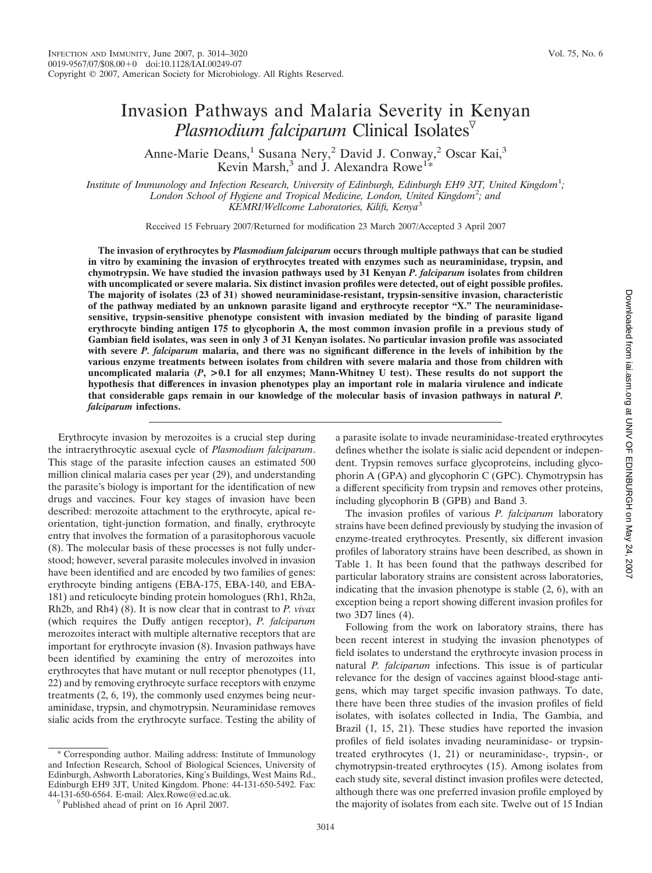# Invasion Pathways and Malaria Severity in Kenyan *Plasmodium falciparum* Clinical Isolates

Anne-Marie Deans,<sup>1</sup> Susana Nery,<sup>2</sup> David J. Conway,<sup>2</sup> Oscar Kai,<sup>3</sup> Kevin Marsh,<sup>3</sup> and J. Alexandra Rowe<sup>1\*</sup>

*Institute of Immunology and Infection Research, University of Edinburgh, Edinburgh EH9 3JT, United Kingdom*<sup>1</sup> *; London School of Hygiene and Tropical Medicine, London, United Kingdom*<sup>2</sup> *; and KEMRI/Wellcome Laboratories, Kilifi, Kenya*<sup>3</sup>

Received 15 February 2007/Returned for modification 23 March 2007/Accepted 3 April 2007

**The invasion of erythrocytes by** *Plasmodium falciparum* **occurs through multiple pathways that can be studied in vitro by examining the invasion of erythrocytes treated with enzymes such as neuraminidase, trypsin, and chymotrypsin. We have studied the invasion pathways used by 31 Kenyan** *P. falciparum* **isolates from children with uncomplicated or severe malaria. Six distinct invasion profiles were detected, out of eight possible profiles. The majority of isolates (23 of 31) showed neuraminidase-resistant, trypsin-sensitive invasion, characteristic of the pathway mediated by an unknown parasite ligand and erythrocyte receptor "X." The neuraminidasesensitive, trypsin-sensitive phenotype consistent with invasion mediated by the binding of parasite ligand erythrocyte binding antigen 175 to glycophorin A, the most common invasion profile in a previous study of Gambian field isolates, was seen in only 3 of 31 Kenyan isolates. No particular invasion profile was associated with severe** *P. falciparum* **malaria, and there was no significant difference in the levels of inhibition by the various enzyme treatments between isolates from children with severe malaria and those from children with uncomplicated malaria (***P***, >0.1 for all enzymes; Mann-Whitney U test). These results do not support the hypothesis that differences in invasion phenotypes play an important role in malaria virulence and indicate that considerable gaps remain in our knowledge of the molecular basis of invasion pathways in natural** *P. falciparum* **infections.**

Erythrocyte invasion by merozoites is a crucial step during the intraerythrocytic asexual cycle of *Plasmodium falciparum*. This stage of the parasite infection causes an estimated 500 million clinical malaria cases per year (29), and understanding the parasite's biology is important for the identification of new drugs and vaccines. Four key stages of invasion have been described: merozoite attachment to the erythrocyte, apical reorientation, tight-junction formation, and finally, erythrocyte entry that involves the formation of a parasitophorous vacuole (8). The molecular basis of these processes is not fully understood; however, several parasite molecules involved in invasion have been identified and are encoded by two families of genes: erythrocyte binding antigens (EBA-175, EBA-140, and EBA-181) and reticulocyte binding protein homologues (Rh1, Rh2a, Rh2b, and Rh4) (8). It is now clear that in contrast to *P. vivax* (which requires the Duffy antigen receptor), *P. falciparum* merozoites interact with multiple alternative receptors that are important for erythrocyte invasion (8). Invasion pathways have been identified by examining the entry of merozoites into erythrocytes that have mutant or null receptor phenotypes (11, 22) and by removing erythrocyte surface receptors with enzyme treatments (2, 6, 19), the commonly used enzymes being neuraminidase, trypsin, and chymotrypsin. Neuraminidase removes sialic acids from the erythrocyte surface. Testing the ability of

\* Corresponding author. Mailing address: Institute of Immunology and Infection Research, School of Biological Sciences, University of Edinburgh, Ashworth Laboratories, King's Buildings, West Mains Rd., Edinburgh EH9 3JT, United Kingdom. Phone: 44-131-650-5492. Fax:

a parasite isolate to invade neuraminidase-treated erythrocytes defines whether the isolate is sialic acid dependent or independent. Trypsin removes surface glycoproteins, including glycophorin A (GPA) and glycophorin C (GPC). Chymotrypsin has a different specificity from trypsin and removes other proteins, including glycophorin B (GPB) and Band 3.

The invasion profiles of various *P. falciparum* laboratory strains have been defined previously by studying the invasion of enzyme-treated erythrocytes. Presently, six different invasion profiles of laboratory strains have been described, as shown in Table 1. It has been found that the pathways described for particular laboratory strains are consistent across laboratories, indicating that the invasion phenotype is stable (2, 6), with an exception being a report showing different invasion profiles for two 3D7 lines (4).

Following from the work on laboratory strains, there has been recent interest in studying the invasion phenotypes of field isolates to understand the erythrocyte invasion process in natural *P. falciparum* infections. This issue is of particular relevance for the design of vaccines against blood-stage antigens, which may target specific invasion pathways. To date, there have been three studies of the invasion profiles of field isolates, with isolates collected in India, The Gambia, and Brazil (1, 15, 21). These studies have reported the invasion profiles of field isolates invading neuraminidase- or trypsintreated erythrocytes (1, 21) or neuraminidase-, trypsin-, or chymotrypsin-treated erythrocytes (15). Among isolates from each study site, several distinct invasion profiles were detected, although there was one preferred invasion profile employed by the majority of isolates from each site. Twelve out of 15 Indian

 $\sqrt[p]{}$  Published ahead of print on 16 April 2007.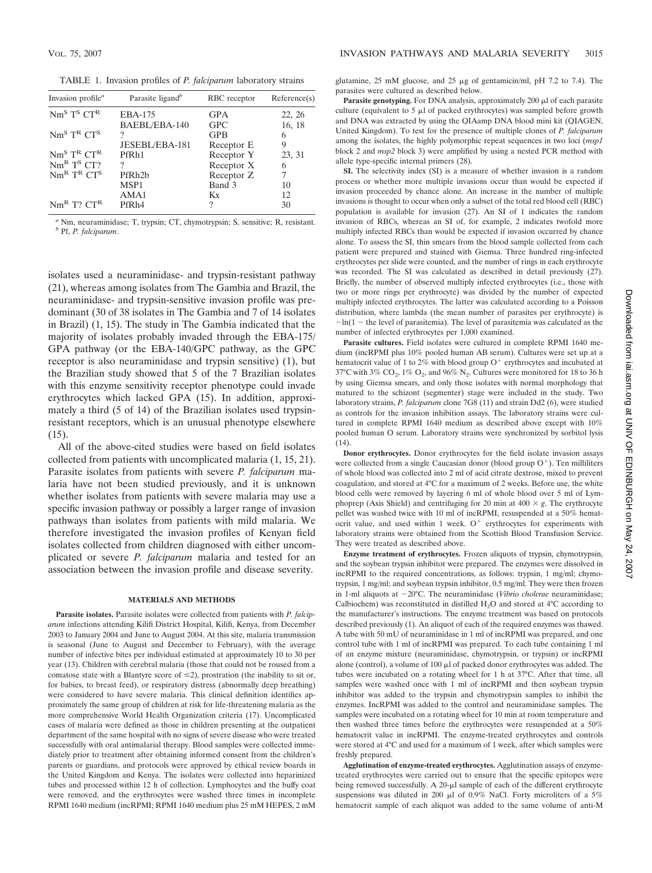TABLE 1. Invasion profiles of *P. falciparum* laboratory strains

| Invasion profile <sup>a</sup>           | Parasite ligand <sup>b</sup> | RBC receptor | Reference(s) |
|-----------------------------------------|------------------------------|--------------|--------------|
| $Nm^{S}T^{S}CT^{R}$                     | EBA-175                      | <b>GPA</b>   | 22, 26       |
|                                         | BAEBL/EBA-140                | GPC          | 16, 18       |
| $Nm^{S}$ T <sup>R</sup> CT <sup>S</sup> | 9                            | <b>GPB</b>   |              |
|                                         | JESEBL/EBA-181               | Receptor E   | 9            |
| $Nm^{S}$ T <sup>R</sup> CT <sup>R</sup> | PfR <sub>h1</sub>            | Receptor Y   | 23, 31       |
| Nm <sup>R</sup> T <sup>S</sup> C T?     | ?                            | Receptor X   |              |
| $Nm^R$ $T^R$ $CT^S$                     | PfRh <sub>2</sub> b          | Receptor Z   |              |
|                                         | MSP1                         | Band 3       | 10           |
|                                         | AMA1                         | Kx           | 12           |
| $Nm^R$ T? $CT^R$                        | PfR <sub>h4</sub>            | 2            | 30           |

*<sup>a</sup>* Nm, neuraminidase; T, trypsin; CT, chymotrypsin; S, sensitive; R, resistant. *<sup>b</sup>* Pf, *P. falciparum*.

isolates used a neuraminidase- and trypsin-resistant pathway (21), whereas among isolates from The Gambia and Brazil, the neuraminidase- and trypsin-sensitive invasion profile was predominant (30 of 38 isolates in The Gambia and 7 of 14 isolates in Brazil) (1, 15). The study in The Gambia indicated that the majority of isolates probably invaded through the EBA-175/ GPA pathway (or the EBA-140/GPC pathway, as the GPC receptor is also neuraminidase and trypsin sensitive) (1), but the Brazilian study showed that 5 of the 7 Brazilian isolates with this enzyme sensitivity receptor phenotype could invade erythrocytes which lacked GPA (15). In addition, approximately a third (5 of 14) of the Brazilian isolates used trypsinresistant receptors, which is an unusual phenotype elsewhere  $(15)$ .

All of the above-cited studies were based on field isolates collected from patients with uncomplicated malaria (1, 15, 21). Parasite isolates from patients with severe *P. falciparum* malaria have not been studied previously, and it is unknown whether isolates from patients with severe malaria may use a specific invasion pathway or possibly a larger range of invasion pathways than isolates from patients with mild malaria. We therefore investigated the invasion profiles of Kenyan field isolates collected from children diagnosed with either uncomplicated or severe *P. falciparum* malaria and tested for an association between the invasion profile and disease severity.

### **MATERIALS AND METHODS**

**Parasite isolates.** Parasite isolates were collected from patients with *P. falciparum* infections attending Kilifi District Hospital, Kilifi, Kenya, from December 2003 to January 2004 and June to August 2004. At this site, malaria transmission is seasonal (June to August and December to February), with the average number of infective bites per individual estimated at approximately 10 to 30 per year (13). Children with cerebral malaria (those that could not be roused from a comatose state with a Blantyre score of  $\leq$ 2), prostration (the inability to sit or, for babies, to breast feed), or respiratory distress (abnormally deep breathing) were considered to have severe malaria. This clinical definition identifies approximately the same group of children at risk for life-threatening malaria as the more comprehensive World Health Organization criteria (17). Uncomplicated cases of malaria were defined as those in children presenting at the outpatient department of the same hospital with no signs of severe disease who were treated successfully with oral antimalarial therapy. Blood samples were collected immediately prior to treatment after obtaining informed consent from the children's parents or guardians, and protocols were approved by ethical review boards in the United Kingdom and Kenya. The isolates were collected into heparinized tubes and processed within 12 h of collection. Lymphocytes and the buffy coat were removed, and the erythrocytes were washed three times in incomplete RPMI 1640 medium (incRPMI; RPMI 1640 medium plus 25 mM HEPES, 2 mM

glutamine,  $25 \text{ mM}$  glucose, and  $25 \mu$ g of gentamicin/ml, pH 7.2 to 7.4). The parasites were cultured as described below.

**Parasite genotyping.** For DNA analysis, approximately  $200 \mu l$  of each parasite culture (equivalent to  $5 \mu l$  of packed erythrocytes) was sampled before growth and DNA was extracted by using the QIAamp DNA blood mini kit (QIAGEN, United Kingdom). To test for the presence of multiple clones of *P. falciparum* among the isolates, the highly polymorphic repeat sequences in two loci (*msp1* block 2 and *msp2* block 3) were amplified by using a nested PCR method with allele type-specific internal primers (28).

**SI.** The selectivity index (SI) is a measure of whether invasion is a random process or whether more multiple invasions occur than would be expected if invasion proceeded by chance alone. An increase in the number of multiple invasions is thought to occur when only a subset of the total red blood cell (RBC) population is available for invasion (27). An SI of 1 indicates the random invasion of RBCs, whereas an SI of, for example, 2 indicates twofold more multiply infected RBCs than would be expected if invasion occurred by chance alone. To assess the SI, thin smears from the blood sample collected from each patient were prepared and stained with Giemsa. Three hundred ring-infected erythrocytes per slide were counted, and the number of rings in each erythrocyte was recorded. The SI was calculated as described in detail previously (27). Briefly, the number of observed multiply infected erythrocytes (i.e., those with two or more rings per erythrocyte) was divided by the number of expected multiply infected erythrocytes. The latter was calculated according to a Poisson distribution, where lambda (the mean number of parasites per erythrocyte) is  $-\ln(1 - \text{the level of parasitemia})$ . The level of parasitemia was calculated as the number of infected erythrocytes per 1,000 examined.

**Parasite cultures.** Field isolates were cultured in complete RPMI 1640 medium (incRPMI plus 10% pooled human AB serum). Cultures were set up at a hematocrit value of 1 to 2% with blood group  $O<sup>+</sup>$  erythrocytes and incubated at 37°C with 3% CO<sub>2</sub>, 1% O<sub>2</sub>, and 96% N<sub>2</sub>. Cultures were monitored for 18 to 36 h by using Giemsa smears, and only those isolates with normal morphology that matured to the schizont (segmenter) stage were included in the study. Two laboratory strains, *P. falciparum* clone 7G8 (11) and strain Dd2 (6), were studied as controls for the invasion inhibition assays. The laboratory strains were cultured in complete RPMI 1640 medium as described above except with 10% pooled human O serum. Laboratory strains were synchronized by sorbitol lysis (14).

**Donor erythrocytes.** Donor erythrocytes for the field isolate invasion assays were collected from a single Caucasian donor (blood group  $O<sup>+</sup>$ ). Ten milliliters of whole blood was collected into 2 ml of acid citrate dextrose, mixed to prevent coagulation, and stored at 4°C for a maximum of 2 weeks. Before use, the white blood cells were removed by layering 6 ml of whole blood over 5 ml of Lymphoprep (Axis Shield) and centrifuging for 20 min at  $400 \times g$ . The erythrocyte pellet was washed twice with 10 ml of incRPMI, resuspended at a 50% hematocrit value, and used within 1 week.  $O<sup>+</sup>$  erythrocytes for experiments with laboratory strains were obtained from the Scottish Blood Transfusion Service. They were treated as described above.

**Enzyme treatment of erythrocytes.** Frozen aliquots of trypsin, chymotrypsin, and the soybean trypsin inhibitor were prepared. The enzymes were dissolved in incRPMI to the required concentrations, as follows: trypsin, 1 mg/ml; chymotrypsin, 1 mg/ml; and soybean trypsin inhibitor, 0.5 mg/ml. They were then frozen in 1-ml aliquots at 20°C. The neuraminidase (*Vibrio cholerae* neuraminidase; Calbiochem) was reconstituted in distilled  $H_2O$  and stored at 4°C according to the manufacturer's instructions. The enzyme treatment was based on protocols described previously (1). An aliquot of each of the required enzymes was thawed. A tube with 50 mU of neuraminidase in 1 ml of incRPMI was prepared, and one control tube with 1 ml of incRPMI was prepared. To each tube containing 1 ml of an enzyme mixture (neuraminidase, chymotrypsin, or trypsin) or incRPMI alone (control), a volume of 100  $\mu$ l of packed donor erythrocytes was added. The tubes were incubated on a rotating wheel for 1 h at 37°C. After that time, all samples were washed once with 1 ml of incRPMI and then soybean trypsin inhibitor was added to the trypsin and chymotrypsin samples to inhibit the enzymes. IncRPMI was added to the control and neuraminidase samples. The samples were incubated on a rotating wheel for 10 min at room temperature and then washed three times before the erythrocytes were resuspended at a 50% hematocrit value in incRPMI. The enzyme-treated erythrocytes and controls were stored at 4°C and used for a maximum of 1 week, after which samples were freshly prepared.

**Agglutination of enzyme-treated erythrocytes.** Agglutination assays of enzymetreated erythrocytes were carried out to ensure that the specific epitopes were being removed successfully. A  $20$ - $\mu$ l sample of each of the different erythrocyte suspensions was diluted in 200  $\mu$ l of 0.9% NaCl. Forty microliters of a 5% hematocrit sample of each aliquot was added to the same volume of anti-M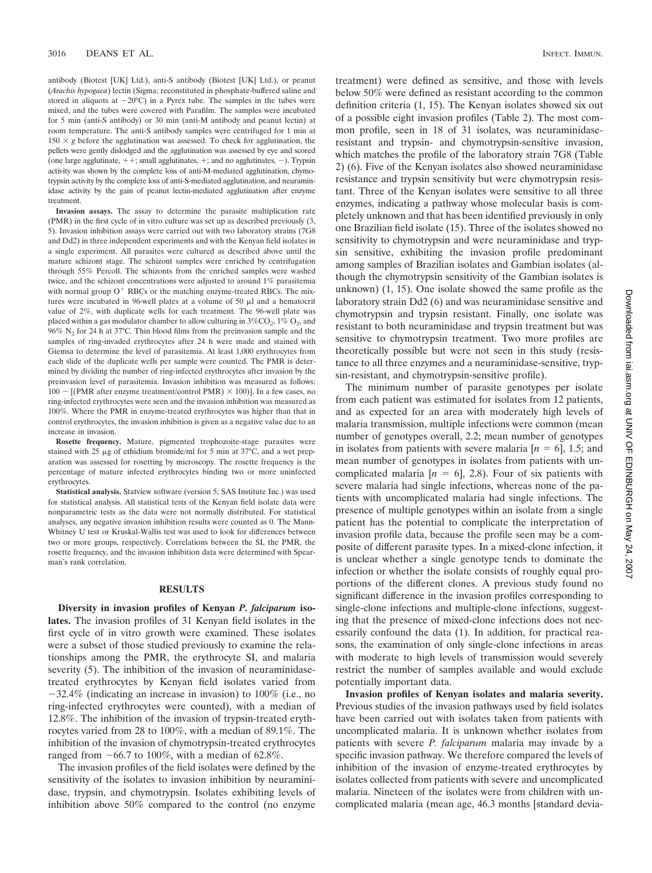antibody (Biotest [UK] Ltd.), anti-S antibody (Biotest [UK] Ltd.), or peanut (*Arachis hypogaea*) lectin (Sigma; reconstituted in phosphate-buffered saline and stored in aliquots at  $-20^{\circ}$ C) in a Pyrex tube. The samples in the tubes were mixed, and the tubes were covered with Parafilm. The samples were incubated for 5 min (anti-S antibody) or 30 min (anti-M antibody and peanut lectin) at room temperature. The anti-S antibody samples were centrifuged for 1 min at 150  $\times$  g before the agglutination was assessed. To check for agglutination, the pellets were gently dislodged and the agglutination was assessed by eye and scored (one large agglutinate,  $++$ ; small agglutinates,  $+$ ; and no agglutinates,  $-$ ). Trypsin activity was shown by the complete loss of anti-M-mediated agglutination, chymotrypsin activity by the complete loss of anti-S-mediated agglutination, and neuraminidase activity by the gain of peanut lectin-mediated agglutination after enzyme treatment.

**Invasion assays.** The assay to determine the parasite multiplication rate (PMR) in the first cycle of in vitro culture was set up as described previously (3, 5). Invasion inhibition assays were carried out with two laboratory strains (7G8 and Dd2) in three independent experiments and with the Kenyan field isolates in a single experiment. All parasites were cultured as described above until the mature schizont stage. The schizont samples were enriched by centrifugation through 55% Percoll. The schizonts from the enriched samples were washed twice, and the schizont concentrations were adjusted to around 1% parasitemia with normal group  $O<sup>+</sup>$  RBCs or the matching enzyme-treated RBCs. The mixtures were incubated in 96-well plates at a volume of 50  $\mu$ l and a hematocrit value of 2%, with duplicate wells for each treatment. The 96-well plate was placed within a gas modulator chamber to allow culturing in  $3\%CO_2$ ,  $1\%$  O<sub>2</sub>, and  $96\%$  N<sub>2</sub> for 24 h at 37°C. Thin blood films from the preinvasion sample and the samples of ring-invaded erythrocytes after 24 h were made and stained with Giemsa to determine the level of parasitemia. At least 1,000 erythrocytes from each slide of the duplicate wells per sample were counted. The PMR is determined by dividing the number of ring-infected erythrocytes after invasion by the preinvasion level of parasitemia. Invasion inhibition was measured as follows: 100 – [(PMR after enzyme treatment/control PMR)  $\times$  100)]. In a few cases, no ring-infected erythrocytes were seen and the invasion inhibition was measured as 100%. Where the PMR in enzyme-treated erythrocytes was higher than that in control erythrocytes, the invasion inhibition is given as a negative value due to an increase in invasion.

**Rosette frequency.** Mature, pigmented trophozoite-stage parasites were stained with 25  $\mu$ g of ethidium bromide/ml for 5 min at 37°C, and a wet preparation was assessed for rosetting by microscopy. The rosette frequency is the percentage of mature infected erythrocytes binding two or more uninfected erythrocytes.

**Statistical analysis.** Statview software (version 5; SAS Institute Inc.) was used for statistical analysis. All statistical tests of the Kenyan field isolate data were nonparametric tests as the data were not normally distributed. For statistical analyses, any negative invasion inhibition results were counted as 0. The Mann-Whitney U test or Kruskal-Wallis test was used to look for differences between two or more groups, respectively. Correlations between the SI, the PMR, the rosette frequency, and the invasion inhibition data were determined with Spearman's rank correlation.

## **RESULTS**

**Diversity in invasion profiles of Kenyan** *P. falciparum* **isolates.** The invasion profiles of 31 Kenyan field isolates in the first cycle of in vitro growth were examined. These isolates were a subset of those studied previously to examine the relationships among the PMR, the erythrocyte SI, and malaria severity (5). The inhibition of the invasion of neuraminidasetreated erythrocytes by Kenyan field isolates varied from  $-32.4\%$  (indicating an increase in invasion) to 100% (i.e., no ring-infected erythrocytes were counted), with a median of 12.8%. The inhibition of the invasion of trypsin-treated erythrocytes varied from 28 to 100%, with a median of 89.1%. The inhibition of the invasion of chymotrypsin-treated erythrocytes ranged from  $-66.7$  to 100%, with a median of 62.8%.

The invasion profiles of the field isolates were defined by the sensitivity of the isolates to invasion inhibition by neuraminidase, trypsin, and chymotrypsin. Isolates exhibiting levels of inhibition above 50% compared to the control (no enzyme

treatment) were defined as sensitive, and those with levels below 50% were defined as resistant according to the common definition criteria (1, 15). The Kenyan isolates showed six out of a possible eight invasion profiles (Table 2). The most common profile, seen in 18 of 31 isolates, was neuraminidaseresistant and trypsin- and chymotrypsin-sensitive invasion, which matches the profile of the laboratory strain 7G8 (Table 2) (6). Five of the Kenyan isolates also showed neuraminidase resistance and trypsin sensitivity but were chymotrypsin resistant. Three of the Kenyan isolates were sensitive to all three enzymes, indicating a pathway whose molecular basis is completely unknown and that has been identified previously in only one Brazilian field isolate (15). Three of the isolates showed no sensitivity to chymotrypsin and were neuraminidase and trypsin sensitive, exhibiting the invasion profile predominant among samples of Brazilian isolates and Gambian isolates (although the chymotrypsin sensitivity of the Gambian isolates is unknown) (1, 15). One isolate showed the same profile as the laboratory strain Dd2 (6) and was neuraminidase sensitive and chymotrypsin and trypsin resistant. Finally, one isolate was resistant to both neuraminidase and trypsin treatment but was sensitive to chymotrypsin treatment. Two more profiles are theoretically possible but were not seen in this study (resistance to all three enzymes and a neuraminidase-sensitive, trypsin-resistant, and chymotrypsin-sensitive profile).

The minimum number of parasite genotypes per isolate from each patient was estimated for isolates from 12 patients, and as expected for an area with moderately high levels of malaria transmission, multiple infections were common (mean number of genotypes overall, 2.2; mean number of genotypes in isolates from patients with severe malaria  $[n = 6]$ , 1.5; and mean number of genotypes in isolates from patients with uncomplicated malaria  $[n = 6]$ , 2.8). Four of six patients with severe malaria had single infections, whereas none of the patients with uncomplicated malaria had single infections. The presence of multiple genotypes within an isolate from a single patient has the potential to complicate the interpretation of invasion profile data, because the profile seen may be a composite of different parasite types. In a mixed-clone infection, it is unclear whether a single genotype tends to dominate the infection or whether the isolate consists of roughly equal proportions of the different clones. A previous study found no significant difference in the invasion profiles corresponding to single-clone infections and multiple-clone infections, suggesting that the presence of mixed-clone infections does not necessarily confound the data (1). In addition, for practical reasons, the examination of only single-clone infections in areas with moderate to high levels of transmission would severely restrict the number of samples available and would exclude potentially important data.

**Invasion profiles of Kenyan isolates and malaria severity.** Previous studies of the invasion pathways used by field isolates have been carried out with isolates taken from patients with uncomplicated malaria. It is unknown whether isolates from patients with severe *P. falciparum* malaria may invade by a specific invasion pathway. We therefore compared the levels of inhibition of the invasion of enzyme-treated erythrocytes by isolates collected from patients with severe and uncomplicated malaria. Nineteen of the isolates were from children with uncomplicated malaria (mean age, 46.3 months [standard devia-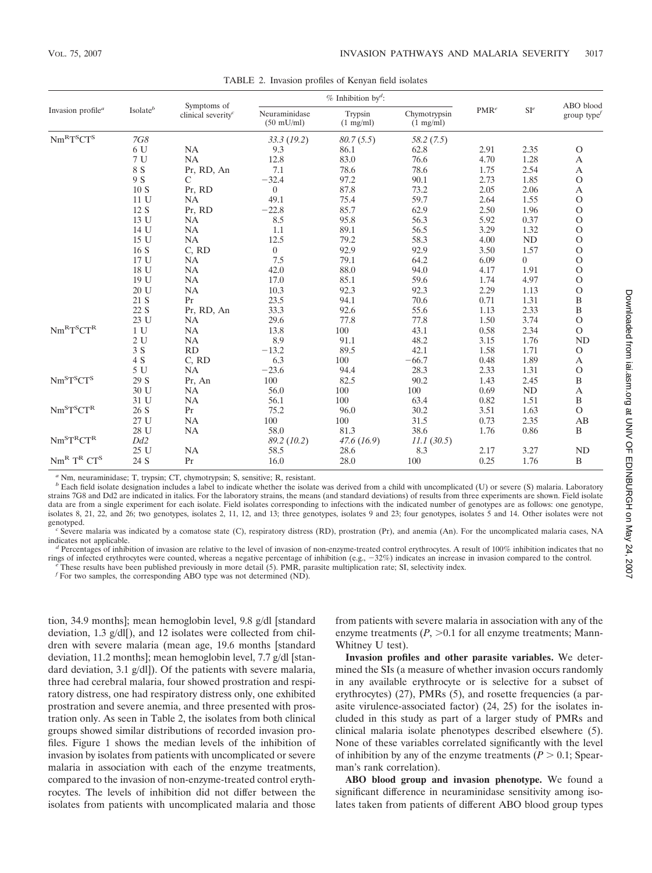| Invasion profile <sup>a</sup>                                                         | $\mathrm{Isolate}^b$ | Symptoms of<br>clinical severity <sup>c</sup> | $%$ Inhibition by <sup>d</sup> :      |                                |                                     |                  |           | ABO blood         |
|---------------------------------------------------------------------------------------|----------------------|-----------------------------------------------|---------------------------------------|--------------------------------|-------------------------------------|------------------|-----------|-------------------|
|                                                                                       |                      |                                               | Neuraminidase<br>$(50 \text{ mU/ml})$ | Trypsin<br>$(1 \text{ mg/ml})$ | Chymotrypsin<br>$(1 \text{ mg/ml})$ | PMR <sup>e</sup> | $SI^e$    | group type $\ell$ |
| $\mathrm{Nm}^\mathrm{R}\mathrm{T}^\mathrm{S}\mathrm{CT}^\mathrm{S}$                   | <b>7G8</b>           |                                               | 33.3(19.2)                            | 80.7(5.5)                      | 58.2(7.5)                           |                  |           |                   |
|                                                                                       | 6 U                  | NA                                            | 9.3                                   | 86.1                           | 62.8                                | 2.91             | 2.35      | $\circ$           |
|                                                                                       | 7 U                  | NA                                            | 12.8                                  | 83.0                           | 76.6                                | 4.70             | 1.28      | А                 |
|                                                                                       | 8 S                  | Pr, RD, An                                    | 7.1                                   | 78.6                           | 78.6                                | 1.75             | 2.54      | $\boldsymbol{A}$  |
|                                                                                       | 9 S                  | C                                             | $-32.4$                               | 97.2                           | 90.1                                | 2.73             | 1.85      | $\mathcal O$      |
|                                                                                       | 10 S                 | Pr, RD                                        | $\overline{0}$                        | 87.8                           | 73.2                                | 2.05             | 2.06      | $\boldsymbol{A}$  |
|                                                                                       | 11 U                 | NA                                            | 49.1                                  | 75.4                           | 59.7                                | 2.64             | 1.55      | $\overline{O}$    |
|                                                                                       | 12 S                 | Pr, RD                                        | $-22.8$                               | 85.7                           | 62.9                                | 2.50             | 1.96      | $\mathcal O$      |
|                                                                                       | 13 U                 | NA                                            | 8.5                                   | 95.8                           | 56.3                                | 5.92             | 0.37      | $\mathcal O$      |
|                                                                                       | 14 U                 | NA                                            | 1.1                                   | 89.1                           | 56.5                                | 3.29             | 1.32      | $\mathcal{O}$     |
|                                                                                       | 15 U                 | NA                                            | 12.5                                  | 79.2                           | 58.3                                | 4.00             | <b>ND</b> | $\mathcal{O}$     |
|                                                                                       | 16 S                 | C, RD                                         | $\overline{0}$                        | 92.9                           | 92.9                                | 3.50             | 1.57      | $\mathcal{O}$     |
|                                                                                       | 17 U                 | NA                                            | 7.5                                   | 79.1                           | 64.2                                | 6.09             | 0         | $\mathbf{O}$      |
|                                                                                       | 18 U                 | NA                                            | 42.0                                  | 88.0                           | 94.0                                | 4.17             | 1.91      | $\mathbf{O}$      |
|                                                                                       | 19 U                 | NA                                            | 17.0                                  | 85.1                           | 59.6                                | 1.74             | 4.97      | $\mathcal{O}$     |
|                                                                                       | 20 U                 | NA                                            | 10.3                                  | 92.3                           | 92.3                                | 2.29             | 1.13      | $\circ$           |
|                                                                                       | 21 S                 | Pr                                            | 23.5                                  | 94.1                           | 70.6                                | 0.71             | 1.31      | $\, {\bf B}$      |
|                                                                                       | 22 S                 | Pr, RD, An                                    | 33.3                                  | 92.6                           | 55.6                                | 1.13             | 2.33      | $\overline{B}$    |
|                                                                                       | 23 U                 | NA                                            | 29.6                                  | 77.8                           | 77.8                                | 1.50             | 3.74      | $\mathcal{O}$     |
| $Nm^R T^S C T^R$                                                                      | 1 U                  | NA                                            | 13.8                                  | 100                            | 43.1                                | 0.58             | 2.34      | $\mathcal O$      |
|                                                                                       | 2U                   | NA                                            | 8.9                                   | 91.1                           | 48.2                                | 3.15             | 1.76      | ND                |
|                                                                                       | 3S                   | RD                                            | $-13.2$                               | 89.5                           | 42.1                                | 1.58             | 1.71      | $\mathcal{O}$     |
|                                                                                       | 4 S                  | C, RD                                         | 6.3                                   | 100                            | $-66.7$                             | 0.48             | 1.89      | $\boldsymbol{A}$  |
|                                                                                       | 5U                   | NA                                            | $-23.6$                               | 94.4                           | 28.3                                | 2.33             | 1.31      | $\mathcal{O}$     |
| $Nm^{S}T^{S}CT^{S}$                                                                   | 29 S                 | Pr, An                                        | 100                                   | 82.5                           | 90.2                                | 1.43             | 2.45      | $\, {\bf B}$      |
|                                                                                       | 30 U                 | NA                                            | 56.0                                  | 100                            | 100                                 | 0.69             | <b>ND</b> | $\boldsymbol{A}$  |
|                                                                                       | 31 U                 | NA                                            | 56.1                                  | 100                            | 63.4                                | 0.82             | 1.51      | $\, {\bf B}$      |
| $Nm^S T^S C T^R$                                                                      | 26 S                 | Pr                                            | 75.2                                  | 96.0                           | 30.2                                | 3.51             | 1.63      | $\mathcal{O}$     |
|                                                                                       | 27 U                 | NA                                            | 100                                   | 100                            | 31.5                                | 0.73             | 2.35      | AB                |
|                                                                                       | 28 U                 | NA                                            | 58.0                                  | 81.3                           | 38.6                                | 1.76             | 0.86      | $\, {\bf B}$      |
| $Nm^{S}T^{R}CT^{R}$                                                                   | Dd <sub>2</sub>      |                                               | 89.2 (10.2)                           | 47.6(16.9)                     | 11.1(30.5)                          |                  |           |                   |
|                                                                                       | 25 U                 | NA                                            | 58.5                                  | 28.6                           | 8.3                                 | 2.17             | 3.27      | <b>ND</b>         |
| $\text{Nm}^{\text{\tiny R}}$ $\text{T}^{\text{\tiny R}}$ $\text{CT}^{\text{\tiny S}}$ | 24 S                 | Pr                                            | 16.0                                  | 28.0                           | 100                                 | 0.25             | 1.76      | B                 |

TABLE 2. Invasion profiles of Kenyan field isolates

<sup>*a*</sup> Nm, neuraminidase; T, trypsin; CT, chymotrypsin; S, sensitive; R, resistant.

 $b$  Each field isolate designation includes a label to indicate whether the isolate was derived from a child with uncomplicated (U) or severe (S) malaria. Laboratory strains 7G8 and Dd2 are indicated in italics. For the laboratory strains, the means (and standard deviations) of results from three experiments are shown. Field isolate data are from a single experiment for each isolate. Field isolates corresponding to infections with the indicated number of genotypes are as follows: one genotype, isolates 8, 21, 22, and 26; two genotypes, isolates 2, 11, 12, and 13; three genotypes, isolates 9 and 23; four genotypes, isolates 5 and 14. Other isolates were not

genotyped.<br>
<sup>c</sup> Severe malaria was indicated by a comatose state (C), respiratory distress (RD), prostration (Pr), and anemia (An). For the uncomplicated malaria cases, NA indicates not applicable.

<sup>d</sup> Percentages of inhibition of invasion are relative to the level of invasion of non-enzyme-treated control erythrocytes. A result of 100% inhibition indicates that no rings of infected erythrocytes were counted, whereas a negative percentage of inhibition (e.g.,  $-32\%$ ) indicates an increase in invasion compared to the control.<br>
"These results have been published previously in more de

 $f$  For two samples, the corresponding ABO type was not determined (ND).

tion, 34.9 months]; mean hemoglobin level, 9.8 g/dl [standard deviation, 1.3 g/dl[), and 12 isolates were collected from children with severe malaria (mean age, 19.6 months [standard deviation, 11.2 months]; mean hemoglobin level, 7.7 g/dl [standard deviation, 3.1 g/dl]). Of the patients with severe malaria, three had cerebral malaria, four showed prostration and respiratory distress, one had respiratory distress only, one exhibited prostration and severe anemia, and three presented with prostration only. As seen in Table 2, the isolates from both clinical groups showed similar distributions of recorded invasion profiles. Figure 1 shows the median levels of the inhibition of invasion by isolates from patients with uncomplicated or severe malaria in association with each of the enzyme treatments, compared to the invasion of non-enzyme-treated control erythrocytes. The levels of inhibition did not differ between the isolates from patients with uncomplicated malaria and those

from patients with severe malaria in association with any of the enzyme treatments  $(P, >0.1$  for all enzyme treatments; Mann-Whitney U test).

**Invasion profiles and other parasite variables.** We determined the SIs (a measure of whether invasion occurs randomly in any available erythrocyte or is selective for a subset of erythrocytes) (27), PMRs (5), and rosette frequencies (a parasite virulence-associated factor) (24, 25) for the isolates included in this study as part of a larger study of PMRs and clinical malaria isolate phenotypes described elsewhere (5). None of these variables correlated significantly with the level of inhibition by any of the enzyme treatments  $(P > 0.1;$  Spearman's rank correlation).

**ABO blood group and invasion phenotype.** We found a significant difference in neuraminidase sensitivity among isolates taken from patients of different ABO blood group types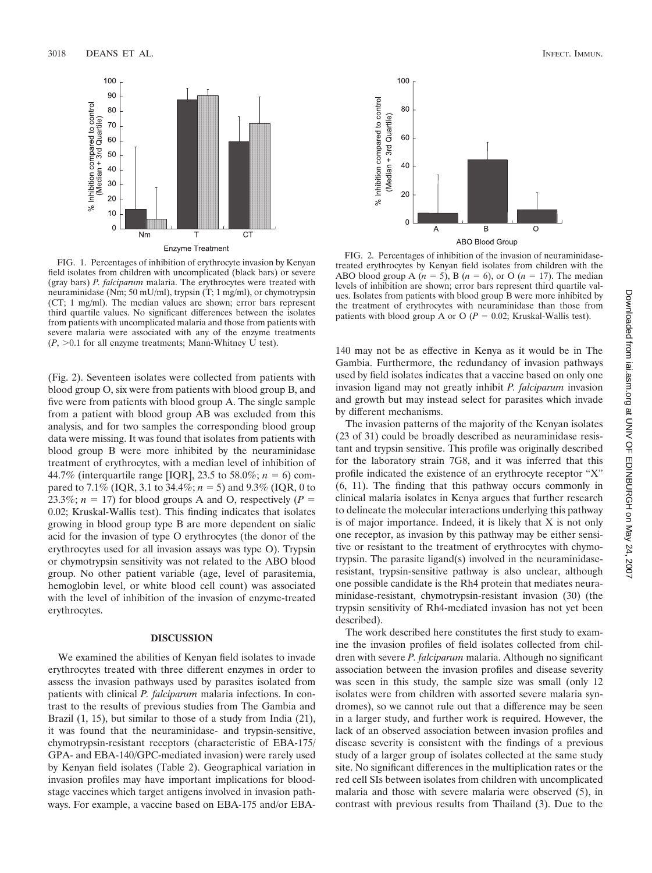

FIG. 1. Percentages of inhibition of erythrocyte invasion by Kenyan field isolates from children with uncomplicated (black bars) or severe (gray bars) *P. falciparum* malaria. The erythrocytes were treated with neuraminidase (Nm; 50 mU/ml), trypsin (T; 1 mg/ml), or chymotrypsin (CT; 1 mg/ml). The median values are shown; error bars represent third quartile values. No significant differences between the isolates from patients with uncomplicated malaria and those from patients with severe malaria were associated with any of the enzyme treatments  $(P, >0.1$  for all enzyme treatments; Mann-Whitney U test).

(Fig. 2). Seventeen isolates were collected from patients with blood group O, six were from patients with blood group B, and five were from patients with blood group A. The single sample from a patient with blood group AB was excluded from this analysis, and for two samples the corresponding blood group data were missing. It was found that isolates from patients with blood group B were more inhibited by the neuraminidase treatment of erythrocytes, with a median level of inhibition of 44.7% (interquartile range [IQR], 23.5 to 58.0%;  $n = 6$ ) compared to 7.1% (IQR, 3.1 to 34.4%;  $n = 5$ ) and 9.3% (IQR, 0 to 23.3%;  $n = 17$ ) for blood groups A and O, respectively ( $P =$ 0.02; Kruskal-Wallis test). This finding indicates that isolates growing in blood group type B are more dependent on sialic acid for the invasion of type O erythrocytes (the donor of the erythrocytes used for all invasion assays was type O). Trypsin or chymotrypsin sensitivity was not related to the ABO blood group. No other patient variable (age, level of parasitemia, hemoglobin level, or white blood cell count) was associated with the level of inhibition of the invasion of enzyme-treated erythrocytes.

# **DISCUSSION**

We examined the abilities of Kenyan field isolates to invade erythrocytes treated with three different enzymes in order to assess the invasion pathways used by parasites isolated from patients with clinical *P. falciparum* malaria infections. In contrast to the results of previous studies from The Gambia and Brazil  $(1, 15)$ , but similar to those of a study from India  $(21)$ , it was found that the neuraminidase- and trypsin-sensitive, chymotrypsin-resistant receptors (characteristic of EBA-175/ GPA- and EBA-140/GPC-mediated invasion) were rarely used by Kenyan field isolates (Table 2). Geographical variation in invasion profiles may have important implications for bloodstage vaccines which target antigens involved in invasion pathways. For example, a vaccine based on EBA-175 and/or EBA-



FIG. 2. Percentages of inhibition of the invasion of neuraminidasetreated erythrocytes by Kenyan field isolates from children with the ABO blood group A  $(n = 5)$ , B  $(n = 6)$ , or O  $(n = 17)$ . The median levels of inhibition are shown; error bars represent third quartile values. Isolates from patients with blood group B were more inhibited by the treatment of erythrocytes with neuraminidase than those from patients with blood group A or O ( $P = 0.02$ ; Kruskal-Wallis test).

140 may not be as effective in Kenya as it would be in The Gambia. Furthermore, the redundancy of invasion pathways used by field isolates indicates that a vaccine based on only one invasion ligand may not greatly inhibit *P. falciparum* invasion and growth but may instead select for parasites which invade by different mechanisms.

The invasion patterns of the majority of the Kenyan isolates (23 of 31) could be broadly described as neuraminidase resistant and trypsin sensitive. This profile was originally described for the laboratory strain 7G8, and it was inferred that this profile indicated the existence of an erythrocyte receptor "X" (6, 11). The finding that this pathway occurs commonly in clinical malaria isolates in Kenya argues that further research to delineate the molecular interactions underlying this pathway is of major importance. Indeed, it is likely that X is not only one receptor, as invasion by this pathway may be either sensitive or resistant to the treatment of erythrocytes with chymotrypsin. The parasite ligand(s) involved in the neuraminidaseresistant, trypsin-sensitive pathway is also unclear, although one possible candidate is the Rh4 protein that mediates neuraminidase-resistant, chymotrypsin-resistant invasion (30) (the trypsin sensitivity of Rh4-mediated invasion has not yet been described).

The work described here constitutes the first study to examine the invasion profiles of field isolates collected from children with severe *P. falciparum* malaria. Although no significant association between the invasion profiles and disease severity was seen in this study, the sample size was small (only 12 isolates were from children with assorted severe malaria syndromes), so we cannot rule out that a difference may be seen in a larger study, and further work is required. However, the lack of an observed association between invasion profiles and disease severity is consistent with the findings of a previous study of a larger group of isolates collected at the same study site. No significant differences in the multiplication rates or the red cell SIs between isolates from children with uncomplicated malaria and those with severe malaria were observed (5), in contrast with previous results from Thailand (3). Due to the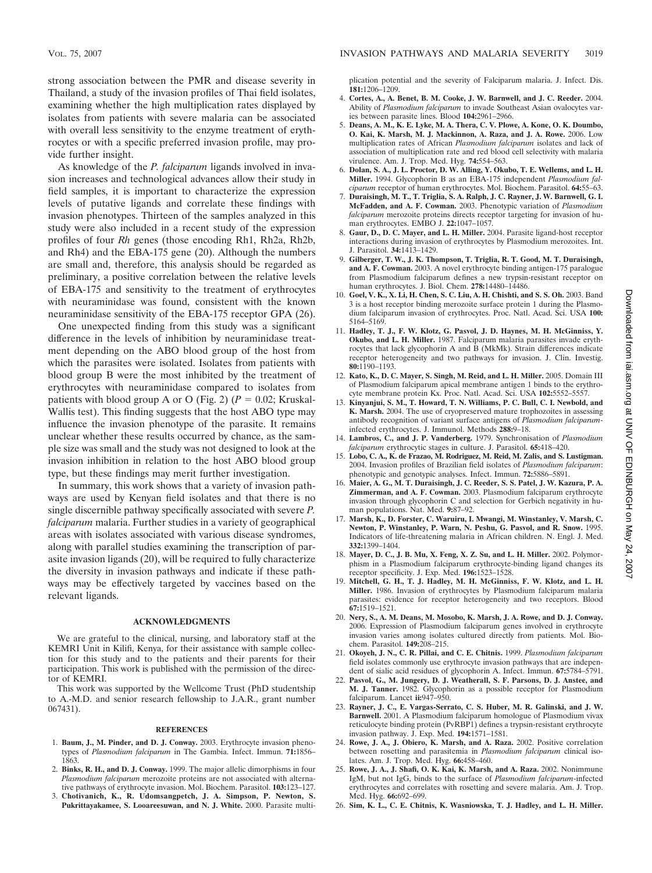strong association between the PMR and disease severity in Thailand, a study of the invasion profiles of Thai field isolates, examining whether the high multiplication rates displayed by isolates from patients with severe malaria can be associated with overall less sensitivity to the enzyme treatment of erythrocytes or with a specific preferred invasion profile, may provide further insight.

As knowledge of the *P. falciparum* ligands involved in invasion increases and technological advances allow their study in field samples, it is important to characterize the expression levels of putative ligands and correlate these findings with invasion phenotypes. Thirteen of the samples analyzed in this study were also included in a recent study of the expression profiles of four *Rh* genes (those encoding Rh1, Rh2a, Rh2b, and Rh4) and the EBA-175 gene (20). Although the numbers are small and, therefore, this analysis should be regarded as preliminary, a positive correlation between the relative levels of EBA-175 and sensitivity to the treatment of erythrocytes with neuraminidase was found, consistent with the known neuraminidase sensitivity of the EBA-175 receptor GPA (26).

One unexpected finding from this study was a significant difference in the levels of inhibition by neuraminidase treatment depending on the ABO blood group of the host from which the parasites were isolated. Isolates from patients with blood group B were the most inhibited by the treatment of erythrocytes with neuraminidase compared to isolates from patients with blood group A or O (Fig. 2) ( $P = 0.02$ ; Kruskal-Wallis test). This finding suggests that the host ABO type may influence the invasion phenotype of the parasite. It remains unclear whether these results occurred by chance, as the sample size was small and the study was not designed to look at the invasion inhibition in relation to the host ABO blood group type, but these findings may merit further investigation.

In summary, this work shows that a variety of invasion pathways are used by Kenyan field isolates and that there is no single discernible pathway specifically associated with severe *P. falciparum* malaria. Further studies in a variety of geographical areas with isolates associated with various disease syndromes, along with parallel studies examining the transcription of parasite invasion ligands (20), will be required to fully characterize the diversity in invasion pathways and indicate if these pathways may be effectively targeted by vaccines based on the relevant ligands.

# **ACKNOWLEDGMENTS**

We are grateful to the clinical, nursing, and laboratory staff at the KEMRI Unit in Kilifi, Kenya, for their assistance with sample collection for this study and to the patients and their parents for their participation. This work is published with the permission of the director of KEMRI.

This work was supported by the Wellcome Trust (PhD studentship to A.-M.D. and senior research fellowship to J.A.R., grant number 067431).

#### **REFERENCES**

- 1. **Baum, J., M. Pinder, and D. J. Conway.** 2003. Erythrocyte invasion phenotypes of *Plasmodium falciparum* in The Gambia. Infect. Immun. **71:**1856– 1863.
- 2. **Binks, R. H., and D. J. Conway.** 1999. The major allelic dimorphisms in four *Plasmodium falciparum* merozoite proteins are not associated with alternative pathways of erythrocyte invasion. Mol. Biochem. Parasitol. **103:**123–127.
- 3. **Chotivanich, K., R. Udomsangpetch, J. A. Simpson, P. Newton, S. Pukrittayakamee, S. Looareesuwan, and N. J. White.** 2000. Parasite multi-

plication potential and the severity of Falciparum malaria. J. Infect. Dis. **181:**1206–1209.

- 4. **Cortes, A., A. Benet, B. M. Cooke, J. W. Barnwell, and J. C. Reeder.** 2004. Ability of *Plasmodium falciparum* to invade Southeast Asian ovalocytes varies between parasite lines. Blood **104:**2961–2966.
- 5. **Deans, A. M., K. E. Lyke, M. A. Thera, C. V. Plowe, A. Kone, O. K. Doumbo, O. Kai, K. Marsh, M. J. Mackinnon, A. Raza, and J. A. Rowe.** 2006. Low multiplication rates of African *Plasmodium falciparum* isolates and lack of association of multiplication rate and red blood cell selectivity with malaria virulence. Am. J. Trop. Med. Hyg. **74:**554–563.
- 6. **Dolan, S. A., J. L. Proctor, D. W. Alling, Y. Okubo, T. E. Wellems, and L. H. Miller.** 1994. Glycophorin B as an EBA-175 independent *Plasmodium falciparum* receptor of human erythrocytes. Mol. Biochem. Parasitol. **64:**55–63.
- 7. **Duraisingh, M. T., T. Triglia, S. A. Ralph, J. C. Rayner, J. W. Barnwell, G. I. McFadden, and A. F. Cowman.** 2003. Phenotypic variation of *Plasmodium falciparum* merozoite proteins directs receptor targeting for invasion of human erythrocytes. EMBO J. **22:**1047–1057.
- 8. **Gaur, D., D. C. Mayer, and L. H. Miller.** 2004. Parasite ligand-host receptor interactions during invasion of erythrocytes by Plasmodium merozoites. Int. J. Parasitol. **34:**1413–1429.
- 9. **Gilberger, T. W., J. K. Thompson, T. Triglia, R. T. Good, M. T. Duraisingh, and A. F. Cowman.** 2003. A novel erythrocyte binding antigen-175 paralogue from Plasmodium falciparum defines a new trypsin-resistant receptor on human erythrocytes. J. Biol. Chem. **278:**14480–14486.
- 10. **Goel, V. K., X. Li, H. Chen, S. C. Liu, A. H. Chishti, and S. S. Oh.** 2003. Band 3 is a host receptor binding merozoite surface protein 1 during the Plasmodium falciparum invasion of erythrocytes. Proc. Natl. Acad. Sci. USA **100:** 5164–5169.
- 11. **Hadley, T. J., F. W. Klotz, G. Pasvol, J. D. Haynes, M. H. McGinniss, Y. Okubo, and L. H. Miller.** 1987. Falciparum malaria parasites invade erythrocytes that lack glycophorin A and  $\hat{B}$  (MkMk). Strain differences indicate receptor heterogeneity and two pathways for invasion. J. Clin. Investig. **80:**1190–1193.
- 12. **Kato, K., D. C. Mayer, S. Singh, M. Reid, and L. H. Miller.** 2005. Domain III of Plasmodium falciparum apical membrane antigen 1 binds to the erythrocyte membrane protein Kx. Proc. Natl. Acad. Sci. USA **102:**5552–5557.
- 13. **Kinyanjui, S. M., T. Howard, T. N. Williams, P. C. Bull, C. I. Newbold, and K. Marsh.** 2004. The use of cryopreserved mature trophozoites in assessing antibody recognition of variant surface antigens of *Plasmodium falciparum*infected erythrocytes. J. Immunol. Methods **288:**9–18.
- 14. **Lambros, C., and J. P. Vanderberg.** 1979. Synchronisation of *Plasmodium falciparum* erythrocytic stages in culture. J. Parasitol. **65:**418–420.
- 15. **Lobo, C. A., K. de Frazao, M. Rodriguez, M. Reid, M. Zalis, and S. Lustigman.** 2004. Invasion profiles of Brazilian field isolates of *Plasmodium falciparum*: phenotypic and genotypic analyses. Infect. Immun. **72:**5886–5891.
- 16. **Maier, A. G., M. T. Duraisingh, J. C. Reeder, S. S. Patel, J. W. Kazura, P. A. Zimmerman, and A. F. Cowman.** 2003. Plasmodium falciparum erythrocyte invasion through glycophorin C and selection for Gerbich negativity in human populations. Nat. Med. **9:**87–92.
- 17. **Marsh, K., D. Forster, C. Waruiru, I. Mwangi, M. Winstanley, V. Marsh, C. Newton, P. Winstanley, P. Warn, N. Peshu, G. Pasvol, and R. Snow.** 1995. Indicators of life-threatening malaria in African children. N. Engl. J. Med. **332:**1399–1404.
- 18. **Mayer, D. C., J. B. Mu, X. Feng, X. Z. Su, and L. H. Miller.** 2002. Polymorphism in a Plasmodium falciparum erythrocyte-binding ligand changes its receptor specificity. J. Exp. Med. **196:**1523–1528.
- 19. **Mitchell, G. H., T. J. Hadley, M. H. McGinniss, F. W. Klotz, and L. H. Miller.** 1986. Invasion of erythrocytes by Plasmodium falciparum malaria parasites: evidence for receptor heterogeneity and two receptors. Blood **67:**1519–1521.
- 20. **Nery, S., A. M. Deans, M. Mosobo, K. Marsh, J. A. Rowe, and D. J. Conway.** 2006. Expression of Plasmodium falciparum genes involved in erythrocyte invasion varies among isolates cultured directly from patients. Mol. Biochem. Parasitol. **149:**208–215.
- 21. **Okoyeh, J. N., C. R. Pillai, and C. E. Chitnis.** 1999. *Plasmodium falciparum* field isolates commonly use erythrocyte invasion pathways that are independent of sialic acid residues of glycophorin A. Infect. Immun. **67:**5784–5791.
- 22. **Pasvol, G., M. Jungery, D. J. Weatherall, S. F. Parsons, D. J. Anstee, and M. J. Tanner.** 1982. Glycophorin as a possible receptor for Plasmodium falciparum. Lancet **ii:**947–950.
- 23. **Rayner, J. C., E. Vargas-Serrato, C. S. Huber, M. R. Galinski, and J. W. Barnwell.** 2001. A Plasmodium falciparum homologue of Plasmodium vivax reticulocyte binding protein (PvRBP1) defines a trypsin-resistant erythrocyte invasion pathway. J. Exp. Med. **194:**1571–1581.
- 24. **Rowe, J. A., J. Obiero, K. Marsh, and A. Raza.** 2002. Positive correlation between rosetting and parasitemia in *Plasmodium falciparum* clinical isolates. Am. J. Trop. Med. Hyg. **66:**458–460.
- 25. **Rowe, J. A., J. Shafi, O. K. Kai, K. Marsh, and A. Raza.** 2002. Nonimmune IgM, but not IgG, binds to the surface of *Plasmodium falciparum*-infected erythrocytes and correlates with rosetting and severe malaria. Am. J. Trop. Med. Hyg. **66:**692–699.
- 26. **Sim, K. L., C. E. Chitnis, K. Wasniowska, T. J. Hadley, and L. H. Miller.**